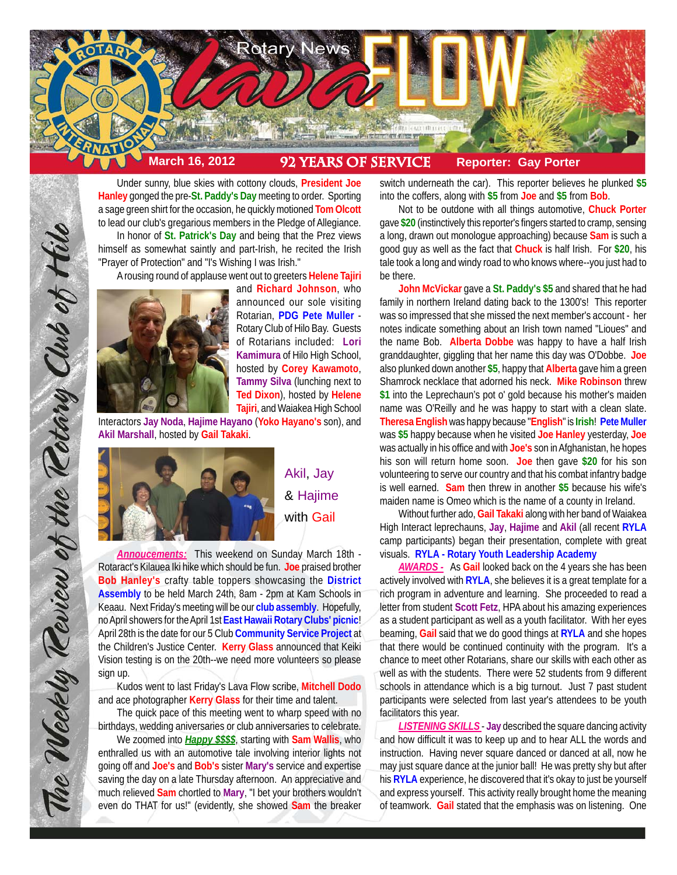

Under sunny, blue skies with cottony clouds, **President Joe Hanley** gonged the pre-**St. Paddy's Day** meeting to order. Sporting a sage green shirt for the occasion, he quickly motioned **Tom Olcott** to lead our club's gregarious members in the Pledge of Allegiance. In honor of **St. Patrick's Day** and being that the Prez views himself as somewhat saintly and part-Irish, he recited the Irish

"Prayer of Protection" and "I's Wishing I was Irish."

A rousing round of applause went out to greeters **Helene Tajiri**



and **Richard Johnson**, who announced our sole visiting Rotarian, **PDG Pete Muller** - Rotary Club of Hilo Bay. Guests of Rotarians included: **Lori Kamimura** of Hilo High School, hosted by **Corey Kawamoto**, **Tammy Silva** (lunching next to **Ted Dixon**), hosted by **Helene Tajiri**, and Waiakea High School

Interactors **Jay Noda**, **Hajime Hayano** (**Yoko Hayano's** son), and **Akil Marshall**, hosted by **Gail Takaki**.



The Weekly Teview of the Tetary Club of Hilo

Akil, Jay & Hajime with Gail

*Annoucements:* This weekend on Sunday March 18th - Rotaract's Kilauea Iki hike which should be fun. **Joe** praised brother **Bob Hanley's** crafty table toppers showcasing the **District Assembly** to be held March 24th, 8am - 2pm at Kam Schools in Keaau. Next Friday's meeting will be our **club assembly**. Hopefully, no April showers for the April 1st **East Hawaii Rotary Clubs' picnic**! April 28th is the date for our 5 Club **Community Service Project** at the Children's Justice Center. **Kerry Glass** announced that Keiki Vision testing is on the 20th--we need more volunteers so please sign up.

Kudos went to last Friday's Lava Flow scribe, **Mitchell Dodo** and ace photographer **Kerry Glass** for their time and talent.

The quick pace of this meeting went to wharp speed with no birthdays, wedding aniversaries or club anniversaries to celebrate.

We zoomed into *Happy \$\$\$\$*, starting with **Sam Wallis**, who enthralled us with an automotive tale involving interior lights not going off and **Joe's** and **Bob's** sister **Mary's** service and expertise saving the day on a late Thursday afternoon. An appreciative and much relieved **Sam** chortled to **Mary**, "I bet your brothers wouldn't even do THAT for us!" (evidently, she showed **Sam** the breaker

switch underneath the car). This reporter believes he plunked **\$5** into the coffers, along with **\$5** from **Joe** and **\$5** from **Bob**.

Not to be outdone with all things automotive, **Chuck Porter** gave **\$20** (instinctively this reporter's fingers started to cramp, sensing a long, drawn out monologue approaching) because **Sam** is such a good guy as well as the fact that **Chuck** is half Irish. For **\$20**, his tale took a long and windy road to who knows where--you just had to be there.

**John McVickar** gave a **St. Paddy's \$5** and shared that he had family in northern Ireland dating back to the 1300's! This reporter was so impressed that she missed the next member's account - her notes indicate something about an Irish town named "Lioues" and the name Bob. **Alberta Dobbe** was happy to have a half Irish granddaughter, giggling that her name this day was O'Dobbe. **Joe** also plunked down another **\$5**, happy that **Alberta** gave him a green Shamrock necklace that adorned his neck. **Mike Robinson** threw **\$1** into the Leprechaun's pot o' gold because his mother's maiden name was O'Reilly and he was happy to start with a clean slate. **Theresa English** was happy because "**English**" is **Irish**! **Pete Muller** was **\$5** happy because when he visited **Joe Hanley** yesterday, **Joe** was actually in his office and with **Joe's** son in Afghanistan, he hopes his son will return home soon. **Joe** then gave **\$20** for his son volunteering to serve our country and that his combat infantry badge is well earned. **Sam** then threw in another **\$5** because his wife's maiden name is Omeo which is the name of a county in Ireland.

Without further ado, **Gail Takaki** along with her band of Waiakea High Interact leprechauns, **Jay**, **Hajime** and **Akil** (all recent **RYLA** camp participants) began their presentation, complete with great visuals. **RYLA - Rotary Youth Leadership Academy**

*AWARDS -* As **Gail** looked back on the 4 years she has been actively involved with **RYLA**, she believes it is a great template for a rich program in adventure and learning. She proceeded to read a letter from student **Scott Fetz**, HPA about his amazing experiences as a student participant as well as a youth facilitator. With her eyes beaming, **Gail** said that we do good things at **RYLA** and she hopes that there would be continued continuity with the program. It's a chance to meet other Rotarians, share our skills with each other as well as with the students. There were 52 students from 9 different schools in attendance which is a big turnout. Just 7 past student participants were selected from last year's attendees to be youth facilitators this year.

*LISTENING SKILLS* - **Jay** described the square dancing activity and how difficult it was to keep up and to hear ALL the words and instruction. Having never square danced or danced at all, now he may just square dance at the junior ball! He was pretty shy but after his **RYLA** experience, he discovered that it's okay to just be yourself and express yourself. This activity really brought home the meaning of teamwork. **Gail** stated that the emphasis was on listening. One